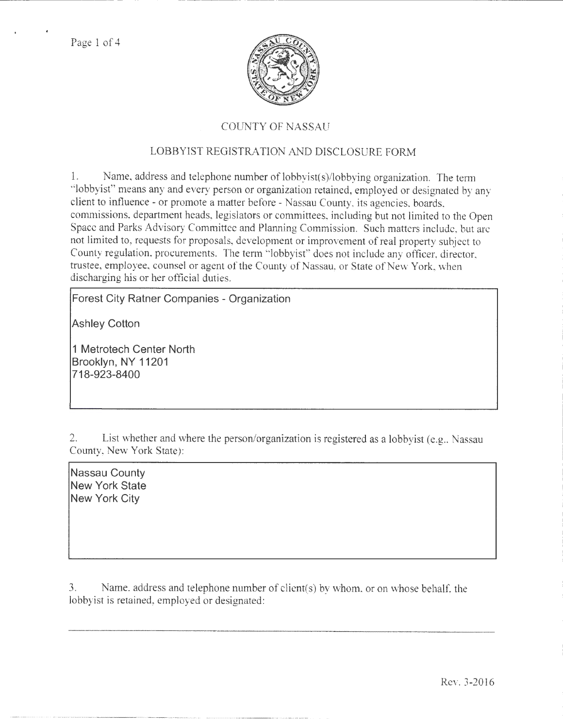

## COUNTY OF NASSAU

## LOBBYIST REGISTRATION AND DISCLOSURE FORM

1. Name, address and telephone number of lobbyist(s)/lobbying organization. The term "lobbyist" means any and every person or organization retained, employed or designated by any client to influence- or promote a matter before- Nassau County, its agencies. boards, commissions, department heads, legislators or committees, including but not limited to the Open Space and Parks Advisory Committee and Planning Commission. Such matters include, but are not limited to, requests for proposals, development or improvement of real property subject to County regulation. procurements. The tenn "lobbyist" does not include any officer, director, trustee, employee, counsel or agent of the County of Nassau, or State of New York, when discharging his or her official duties.

**Forest City Ratner Companies - Organization** 

**Ashley Cotton** 

**1 Metrotech Center North Brooklyn, NY 11201 718-923-8400** 

2. List whether and where the person/organization is registered as a lobbyist (e.g., Nassau County, New York State):

**Nassau County New York State New York City** 

3. Name, address and telephone number of client(s) by whom. or on whose behalt: the lobbyist is retained, employed or designated:

Rev. 3-2016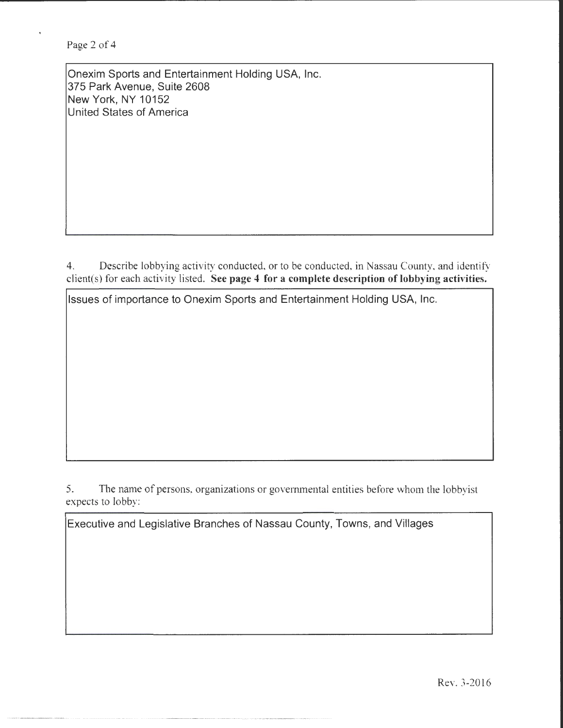Page 2 of 4

Onexim Sports and Entertainment Holding USA, Inc. 375 Park Avenue, Suite 2608 New York, NY 10152 United States of America

4. Describe lobbying activity conducted, or to be conducted, in Nassau County, and identify client( s) for each activity listed. See page 4 for a complete description of lobbying activities.

------------- ------- --- --- - ------------ ----------

Issues of importance to Onexim Sports and Entertainment Holding USA, Inc.

5. The name of persons, organizations or governmental entities before whom the lobbyist expects to lobby:

Executive and Legislative Branches of Nassau County, Towns, and Villages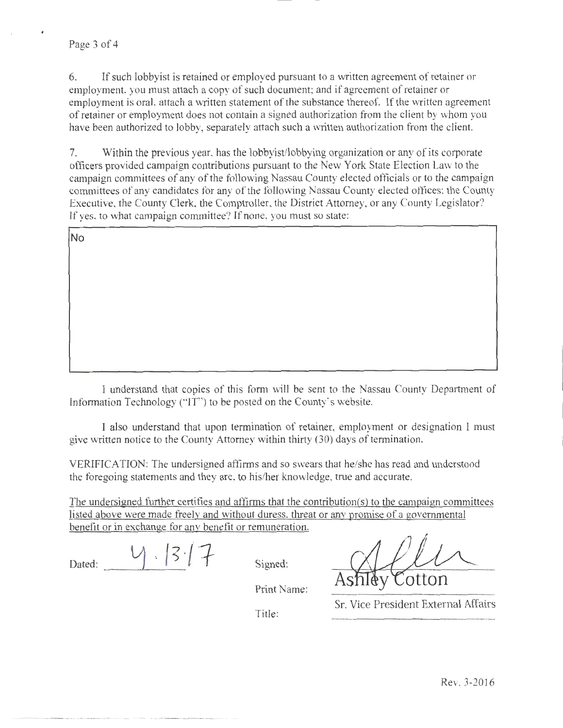6. If such lobby ist is retained or employed pursuant to a written agreement of retainer or employment. you must attach a copy of such document; and if agreement of retainer or employment is oral, attach a written statement of the substance thereof. If the written agreement of retainer or employment does not contain a signed authorization from the client by whom you have been authorized to lobby, separately attach such a written authorization from the client.

7. Within the previous year, has the lobbyist/lobbying organization or any of its corporate officers provided campaign contributions pursuant to the New York State Election Law to the campaign committees of any of the following Nassau County elected officials or to the campaign committees of any candidates for any of the following Nassau County elected offices: the County Executive, the County Clerk, the Comptroller, the District Attorney, or any County Legislator? If yes, to what campaign committee? If none, you must so state:

No

I understand that copies of this form will be sent to the Nassau County Department of Information Technology ("IT") to be posted on the County's website.

I also understand that upon termination of retainer, employment or designation l must give written notice to the County Attorney within thirty (30) days of termination.

VERIFICATION: The undersigned affirms and so swears that he/she has read and understood the foregoing statements and they are, to his/her knowledge, true and accurate.

The undersigned further certifies and affirms that the contribution(s) to the campaign committees listed above were made freely and without duress. threat or any promise of a governmental benefit or in exchange for any benefit or remuneration.

 $4.1317$ Dated:

Signed:

on(s) to the campaign committees<br>promise of a governmental<br>shiley Cotton<br>Vice President External Affairs

Print Name:

Title:

Sr. Vice President External Affairs